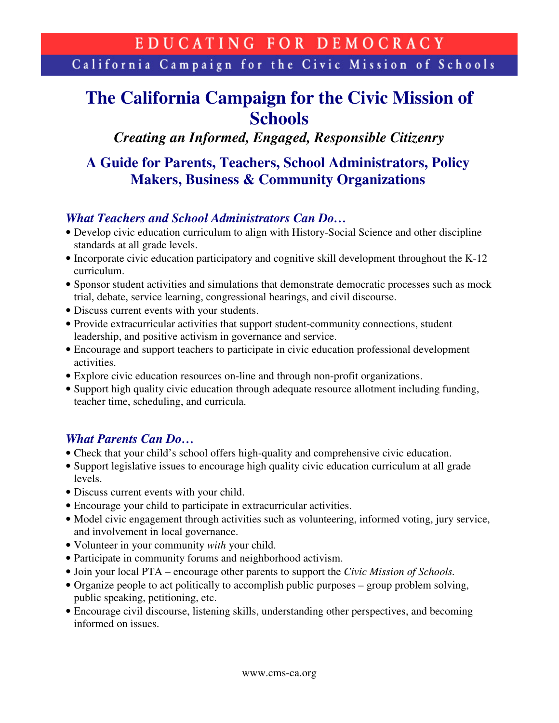California Campaign for the Civic Mission of Schools

# **The California Campaign for the Civic Mission of Schools**

*Creating an Informed, Engaged, Responsible Citizenry* 

# **A Guide for Parents, Teachers, School Administrators, Policy Makers, Business & Community Organizations**

### *What Teachers and School Administrators Can Do…*

- Develop civic education curriculum to align with History-Social Science and other discipline standards at all grade levels.
- Incorporate civic education participatory and cognitive skill development throughout the K-12 curriculum.
- Sponsor student activities and simulations that demonstrate democratic processes such as mock trial, debate, service learning, congressional hearings, and civil discourse.
- Discuss current events with your students.
- Provide extracurricular activities that support student-community connections, student leadership, and positive activism in governance and service.
- Encourage and support teachers to participate in civic education professional development activities.
- Explore civic education resources on-line and through non-profit organizations.
- Support high quality civic education through adequate resource allotment including funding, teacher time, scheduling, and curricula.

## *What Parents Can Do…*

- Check that your child's school offers high-quality and comprehensive civic education.
- Support legislative issues to encourage high quality civic education curriculum at all grade levels.
- Discuss current events with your child.
- Encourage your child to participate in extracurricular activities.
- Model civic engagement through activities such as volunteering, informed voting, jury service, and involvement in local governance.
- Volunteer in your community *with* your child.
- Participate in community forums and neighborhood activism.
- Join your local PTA encourage other parents to support the *Civic Mission of Schools.*
- Organize people to act politically to accomplish public purposes group problem solving, public speaking, petitioning, etc.
- Encourage civil discourse, listening skills, understanding other perspectives, and becoming informed on issues.